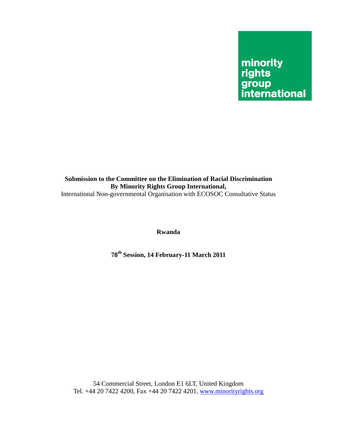# minority<br>rights group<br>international

### **Submission to the Committee on the Elimination of Racial Discrimination By Minority Rights Group International,**  International Non-governmental Organisation with ECOSOC Consultative Status

**Rwanda** 

**78th Session, 14 February-11 March 2011** 

54 Commercial Street, London E1 6LT, United Kingdom Tel. +44 20 7422 4200, Fax +44 20 7422 4201, www.minorityrights.org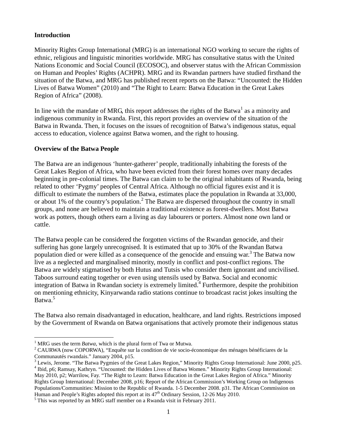# **Introduction**

 $\overline{a}$ 

Minority Rights Group International (MRG) is an international NGO working to secure the rights of ethnic, religious and linguistic minorities worldwide. MRG has consultative status with the United Nations Economic and Social Council (ECOSOC), and observer status with the African Commission on Human and Peoples' Rights (ACHPR). MRG and its Rwandan partners have studied firsthand the situation of the Batwa, and MRG has published recent reports on the Batwa: "Uncounted: the Hidden Lives of Batwa Women" (2010) and "The Right to Learn: Batwa Education in the Great Lakes Region of Africa" (2008).

In line with the mandate of MRG, this report addresses the rights of the Batwa<sup>1</sup> as a minority and indigenous community in Rwanda. First, this report provides an overview of the situation of the Batwa in Rwanda. Then, it focuses on the issues of recognition of Batwa's indigenous status, equal access to education, violence against Batwa women, and the right to housing.

# **Overview of the Batwa People**

The Batwa are an indigenous 'hunter-gatherer' people, traditionally inhabiting the forests of the Great Lakes Region of Africa, who have been evicted from their forest homes over many decades beginning in pre-colonial times. The Batwa can claim to be the original inhabitants of Rwanda, being related to other 'Pygmy' peoples of Central Africa. Although no official figures exist and it is difficult to estimate the numbers of the Batwa, estimates place the population in Rwanda at 33,000, or about 1% of the country's population.<sup>2</sup> The Batwa are dispersed throughout the country in small groups, and none are believed to maintain a traditional existence as forest-dwellers. Most Batwa work as potters, though others earn a living as day labourers or porters. Almost none own land or cattle.

The Batwa people can be considered the forgotten victims of the Rwandan genocide, and their suffering has gone largely unrecognised. It is estimated that up to 30% of the Rwandan Batwa population died or were killed as a consequence of the genocide and ensuing war.<sup>3</sup> The Batwa now live as a neglected and marginalised minority, mostly in conflict and post-conflict regions. The Batwa are widely stigmatised by both Hutus and Tutsis who consider them ignorant and uncivilised. Taboos surround eating together or even using utensils used by Batwa. Social and economic integration of Batwa in Rwandan society is extremely limited.<sup>4</sup> Furthermore, despite the prohibition on mentioning ethnicity, Kinyarwanda radio stations continue to broadcast racist jokes insulting the Batwa.<sup>5</sup>

The Batwa also remain disadvantaged in education, healthcare, and land rights. Restrictions imposed by the Government of Rwanda on Batwa organisations that actively promote their indigenous status

<sup>1</sup> MRG uses the term *Batwa*, which is the plural form of Twa or Mutwa.

<sup>&</sup>lt;sup>2</sup> CAURWA (now COPORWA), "Enquête sur la condition de vie socio-économique des ménages bénéficiares de la Communautés rwandais." January 2004, p15.

 $3$  Lewis, Jerome. "The Batwa Pygmies of the Great Lakes Region," Minority Rights Group International: June 2000, p25. <sup>4</sup> Ibid, p6; Ramsay, Kathryn. "Uncounted: the Hidden Lives of Batwa Women." Minority Rights Group International: May 2010, p2; Warrilow, Fay. "The Right to Learn: Batwa Education in the Great Lakes Region of Africa." Minority Rights Group International: December 2008, p16; Report of the African Commission's Working Group on Indigenous Populations/Communities: Mission to the Republic of Rwanda. 1-5 December 2008. p31. The African Commission on Human and People's Rights adopted this report at its  $47<sup>th</sup>$  Ordinary Session, 12-26 May 2010.

 $<sup>5</sup>$  This was reported by an MRG staff member on a Rwanda visit in February 2011.</sup>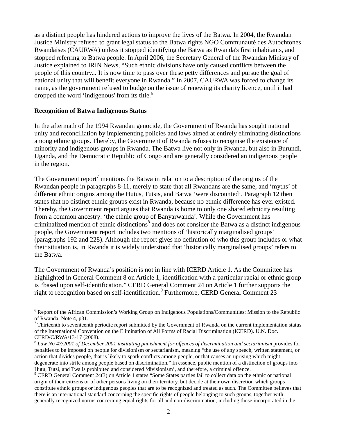as a distinct people has hindered actions to improve the lives of the Batwa. In 2004, the Rwandan Justice Ministry refused to grant legal status to the Batwa rights NGO Communauté des Autochtones Rwandaises (CAURWA) unless it stopped identifying the Batwa as Rwanda's first inhabitants, and stopped referring to Batwa people. In April 2006, the Secretary General of the Rwandan Ministry of Justice explained to IRIN News, "Such ethnic divisions have only caused conflicts between the people of this country... It is now time to pass over these petty differences and pursue the goal of national unity that will benefit everyone in Rwanda." In 2007, CAURWA was forced to change its name, as the government refused to budge on the issue of renewing its charity licence, until it had dropped the word 'indigenous' from its title.<sup>6</sup>

#### **Recognition of Batwa Indigenous Status**

 $\overline{a}$ 

In the aftermath of the 1994 Rwandan genocide, the Government of Rwanda has sought national unity and reconciliation by implementing policies and laws aimed at entirely eliminating distinctions among ethnic groups. Thereby, the Government of Rwanda refuses to recognise the existence of minority and indigenous groups in Rwanda. The Batwa live not only in Rwanda, but also in Burundi, Uganda, and the Democratic Republic of Congo and are generally considered an indigenous people in the region.

The Government report<sup>7</sup> mentions the Batwa in relation to a description of the origins of the Rwandan people in paragraphs 8-11, merely to state that all Rwandans are the same, and 'myths' of different ethnic origins among the Hutus, Tutsis, and Batwa 'were discounted'. Paragraph 12 then states that no distinct ethnic groups exist in Rwanda, because no ethnic difference has ever existed. Thereby, the Government report argues that Rwanda is home to only one shared ethnicity resulting from a common ancestry: 'the ethnic group of Banyarwanda'. While the Government has criminalized mention of ethnic distinctions<sup>8</sup> and does not consider the Batwa as a distinct indigenous people, the Government report includes two mentions of 'historically marginalised groups' (paragraphs 192 and 228). Although the report gives no definition of who this group includes or what their situation is, in Rwanda it is widely understood that 'historically marginalised groups' refers to the Batwa.

The Government of Rwanda's position is not in line with ICERD Article 1. As the Committee has highlighted in General Comment 8 on Article 1, identification with a particular racial or ethnic group is "based upon self-identification." CERD General Comment 24 on Article 1 further supports the right to recognition based on self-identification.<sup>9</sup> Furthermore, CERD General Comment 23

<sup>&</sup>lt;sup>6</sup> Report of the African Commission's Working Group on Indigenous Populations/Communities: Mission to the Republic of Rwanda, Note 4, p31.

 $<sup>7</sup>$  Thirteenth to seventeenth periodic report submitted by the Government of Rwanda on the current implementation status</sup> of the International Convention on the Elimination of All Forms of Racial Discrimination (ICERD). U.N. Doc. CERD/C/RWA/13-17 (2008).

<sup>8</sup> *Law No 47/2001 of December 2001 instituting punishment for offences of discrimination and sectarianism* provides for penalties to be imposed on people for divisionism or sectarianism, meaning "the use of any speech, written statement, or action that divides people, that is likely to spark conflicts among people, or that causes an uprising which might degenerate into strife among people based on discrimination." In essence, public mention of a distinction of groups into Hutu, Tutsi, and Twa is prohibited and considered 'divisionism', and therefore, a criminal offence.

<sup>&</sup>lt;sup>9</sup> CERD General Comment 24(3) on Article 1 states "Some States parties fail to collect data on the ethnic or national origin of their citizens or of other persons living on their territory, but decide at their own discretion which groups constitute ethnic groups or indigenous peoples that are to be recognized and treated as such. The Committee believes that there is an international standard concerning the specific rights of people belonging to such groups, together with generally recognized norms concerning equal rights for all and non-discrimination, including those incorporated in the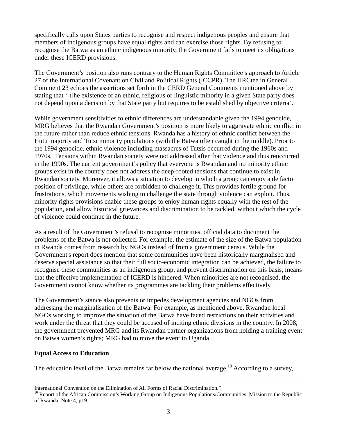specifically calls upon States parties to recognise and respect indigenous peoples and ensure that members of indigenous groups have equal rights and can exercise those rights. By refusing to recognise the Batwa as an ethnic indigenous minority, the Government fails to meet its obligations under these ICERD provisions.

The Government's position also runs contrary to the Human Rights Committee's approach to Article 27 of the International Covenant on Civil and Political Rights (ICCPR). The HRCtee in General Comment 23 echoes the assertions set forth in the CERD General Comments mentioned above by stating that '[t]he existence of an ethnic, religious or linguistic minority in a given State party does not depend upon a decision by that State party but requires to be established by objective criteria'.

While government sensitivities to ethnic differences are understandable given the 1994 genocide, MRG believes that the Rwandan Government's position is more likely to aggravate ethnic conflict in the future rather than reduce ethnic tensions. Rwanda has a history of ethnic conflict between the Hutu majority and Tutsi minority populations (with the Batwa often caught in the middle). Prior to the 1994 genocide, ethnic violence including massacres of Tutsis occurred during the 1960s and 1970s. Tensions within Rwandan society were not addressed after that violence and thus reoccurred in the 1990s. The current government's policy that everyone is Rwandan and no minority ethnic groups exist in the country does not address the deep-rooted tensions that continue to exist in Rwandan society. Moreover, it allows a situation to develop in which a group can enjoy a de facto position of privilege, while others are forbidden to challenge it. This provides fertile ground for frustrations, which movements wishing to challenge the state through violence can exploit. Thus, minority rights provisions enable these groups to enjoy human rights equally with the rest of the population, and allow historical grievances and discrimination to be tackled, without which the cycle of violence could continue in the future.

As a result of the Government's refusal to recognise minorities, official data to document the problems of the Batwa is not collected. For example, the estimate of the size of the Batwa population in Rwanda comes from research by NGOs instead of from a government census. While the Government's report does mention that some communities have been historically marginalised and deserve special assistance so that their full socio-economic integration can be achieved, the failure to recognise these communities as an indigenous group, and prevent discrimination on this basis, means that the effective implementation of ICERD is hindered. When minorities are not recognised, the Government cannot know whether its programmes are tackling their problems effectively.

The Government's stance also prevents or impedes development agencies and NGOs from addressing the marginalisation of the Batwa. For example, as mentioned above, Rwandan local NGOs working to improve the situation of the Batwa have faced restrictions on their activities and work under the threat that they could be accused of inciting ethnic divisions in the country. In 2008, the government prevented MRG and its Rwandan partner organizations from holding a training event on Batwa women's rights; MRG had to move the event to Uganda.

# **Equal Access to Education**

The education level of the Batwa remains far below the national average.<sup>10</sup> According to a survey,

International Convention on the Elimination of All Forms of Racial Discrimination."

 $10$  Report of the African Commission's Working Group on Indigenous Populations/Communities: Mission to the Republic of Rwanda, Note 4, p19.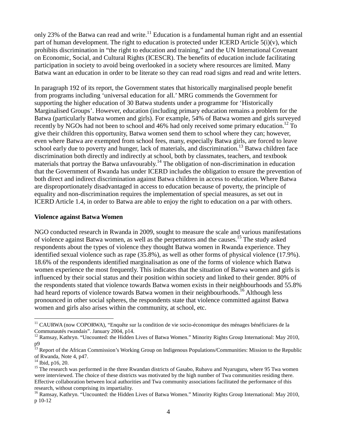only 23% of the Batwa can read and write.<sup>11</sup> Education is a fundamental human right and an essential part of human development. The right to education is protected under ICERD Article 5(i)(v), which prohibits discrimination in "the right to education and training," and the UN International Covenant on Economic, Social, and Cultural Rights (ICESCR). The benefits of education include facilitating participation in society to avoid being overlooked in a society where resources are limited. Many Batwa want an education in order to be literate so they can read road signs and read and write letters.

In paragraph 192 of its report, the Government states that historically marginalised people benefit from programs including 'universal education for all.' MRG commends the Government for supporting the higher education of 30 Batwa students under a programme for 'Historically Marginalised Groups'. However, education (including primary education remains a problem for the Batwa (particularly Batwa women and girls). For example, 54% of Batwa women and girls surveyed recently by NGOs had not been to school and  $46\%$  had only received some primary education.<sup>12</sup> To give their children this opportunity, Batwa women send them to school where they can; however, even where Batwa are exempted from school fees, many, especially Batwa girls, are forced to leave school early due to poverty and hunger, lack of materials, and discrimination.<sup>13</sup> Batwa children face discrimination both directly and indirectly at school, both by classmates, teachers, and textbook materials that portray the Batwa unfavourably.<sup>14</sup> The obligation of non-discrimination in education that the Government of Rwanda has under ICERD includes the obligation to ensure the prevention of both direct and indirect discrimination against Batwa children in access to education. Where Batwa are disproportionately disadvantaged in access to education because of poverty, the principle of equality and non-discrimination requires the implementation of special measures, as set out in ICERD Article 1.4, in order to Batwa are able to enjoy the right to education on a par with others.

#### **Violence against Batwa Women**

NGO conducted research in Rwanda in 2009, sought to measure the scale and various manifestations of violence against Batwa women, as well as the perpetrators and the causes.15 The study asked respondents about the types of violence they thought Batwa women in Rwanda experience. They identified sexual violence such as rape (35.8%), as well as other forms of physical violence (17.9%). 18.6% of the respondents identified marginalisation as one of the forms of violence which Batwa women experience the most frequently. This indicates that the situation of Batwa women and girls is influenced by their social status and their position within society and linked to their gender. 80% of the respondents stated that violence towards Batwa women exists in their neighbourhoods and 55.8% had heard reports of violence towards Batwa women in their neighbourhoods.<sup>16</sup> Although less pronounced in other social spheres, the respondents state that violence committed against Batwa women and girls also arises within the community, at school, etc.

 $\overline{a}$ 

<sup>&</sup>lt;sup>11</sup> CAURWA (now COPORWA), "Enquête sur la condition de vie socio-économique des ménages bénéficiares de la Communautés rwandais". January 2004, p14.

<sup>&</sup>lt;sup>12</sup> Ramsay, Kathryn. "Uncounted: the Hidden Lives of Batwa Women." Minority Rights Group International: May 2010, p9

<sup>&</sup>lt;sup>13</sup> Report of the African Commission's Working Group on Indigenous Populations/Communities: Mission to the Republic of Rwanda, Note 4, p47.

<sup>&</sup>lt;sup>14</sup> Ibid, p16, 20.

<sup>&</sup>lt;sup>15</sup> The research was performed in the three Rwandan districts of Gasabo, Rubavu and Nyaruguru, where 95 Twa women were interviewed. The choice of these districts was motivated by the high number of Twa communities residing there. Effective collaboration between local authorities and Twa community associations facilitated the performance of this research, without comprising its impartiality.

<sup>&</sup>lt;sup>16</sup> Ramsay, Kathryn. "Uncounted: the Hidden Lives of Batwa Women." Minority Rights Group International: May 2010, p 10-12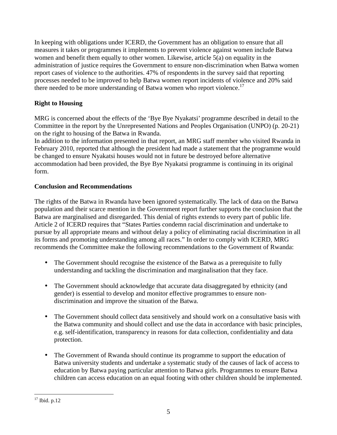In keeping with obligations under ICERD, the Government has an obligation to ensure that all measures it takes or programmes it implements to prevent violence against women include Batwa women and benefit them equally to other women. Likewise, article 5(a) on equality in the administration of justice requires the Government to ensure non-discrimination when Batwa women report cases of violence to the authorities. 47% of respondents in the survey said that reporting processes needed to be improved to help Batwa women report incidents of violence and 20% said there needed to be more understanding of Batwa women who report violence.<sup>17</sup>

# **Right to Housing**

MRG is concerned about the effects of the 'Bye Bye Nyakatsi' programme described in detail to the Committee in the report by the Unrepresented Nations and Peoples Organisation (UNPO) (p. 20-21) on the right to housing of the Batwa in Rwanda.

In addition to the information presented in that report, an MRG staff member who visited Rwanda in February 2010, reported that although the president had made a statement that the programme would be changed to ensure Nyakatsi houses would not in future be destroyed before alternative accommodation had been provided, the Bye Bye Nyakatsi programme is continuing in its original form.

# **Conclusion and Recommendations**

The rights of the Batwa in Rwanda have been ignored systematically. The lack of data on the Batwa population and their scarce mention in the Government report further supports the conclusion that the Batwa are marginalised and disregarded. This denial of rights extends to every part of public life. Article 2 of ICERD requires that "States Parties condemn racial discrimination and undertake to pursue by all appropriate means and without delay a policy of eliminating racial discrimination in all its forms and promoting understanding among all races." In order to comply with ICERD, MRG recommends the Committee make the following recommendations to the Government of Rwanda:

- The Government should recognise the existence of the Batwa as a prerequisite to fully understanding and tackling the discrimination and marginalisation that they face.
- The Government should acknowledge that accurate data disaggregated by ethnicity (and gender) is essential to develop and monitor effective programmes to ensure nondiscrimination and improve the situation of the Batwa.
- The Government should collect data sensitively and should work on a consultative basis with the Batwa community and should collect and use the data in accordance with basic principles, e.g. self-identification, transparency in reasons for data collection, confidentiality and data protection.
- The Government of Rwanda should continue its programme to support the education of Batwa university students and undertake a systematic study of the causes of lack of access to education by Batwa paying particular attention to Batwa girls. Programmes to ensure Batwa children can access education on an equal footing with other children should be implemented.

 $\overline{a}$ 

 $17$  Ibid. p.12